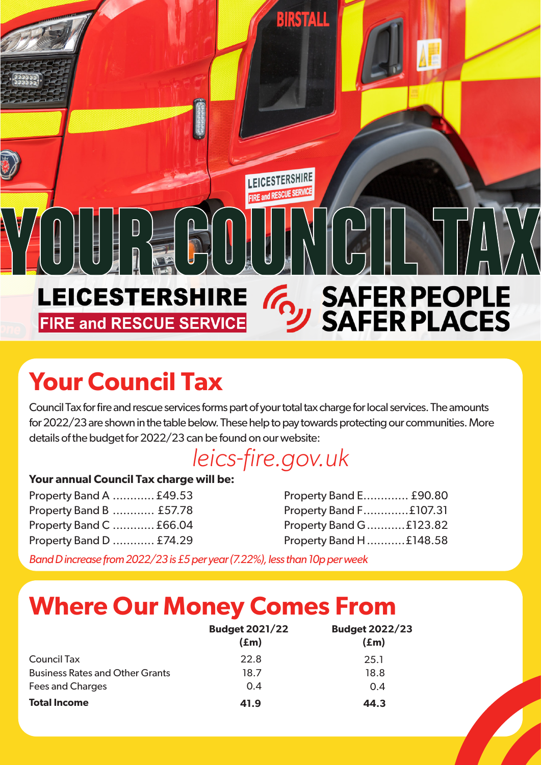### SAFER PEOPLE<br>SAFER PLACES **LEICESTERSHIRE**  $\mathcal{C}_{\Omega}$ **FIRE and RESCUE SERVICE**

LEICESTERSHIRE

**BIRSTALL** 

# **Your Council Tax**

Council Tax for fire and rescue services forms part of your total tax charge for local services. The amounts for 2022/23 are shown in the table below. These help to pay towards protecting our communities. More details of the budget for 2022/23 can be found on our website:

### *leics-fire.gov.uk*

#### **Your annual Council Tax charge will be:**

Property Band A ............ £49.53 Property Band B ............ £57.78 Property Band C ............ £66.04 Property Band D ............ £74.29

| Property Band E £90.80 |  |
|------------------------|--|
| Property Band F£107.31 |  |
| Property Band G£123.82 |  |
| Property Band H£148.58 |  |

*Band D increase from 2022/23 is £5 per year (7.22%), less than 10p per week*

## **Where Our Money Comes From**

|                                        | <b>Budget 2021/22</b><br>$(\text{fm})$ | <b>Budget 2022/23</b><br>$(\text{fm})$ |
|----------------------------------------|----------------------------------------|----------------------------------------|
| Council Tax                            | 22.8                                   | 25.1                                   |
| <b>Business Rates and Other Grants</b> | 18.7                                   | 18.8                                   |
| <b>Fees and Charges</b>                | 0.4                                    | 0.4                                    |
| <b>Total Income</b>                    | 41.9                                   | 44.3                                   |